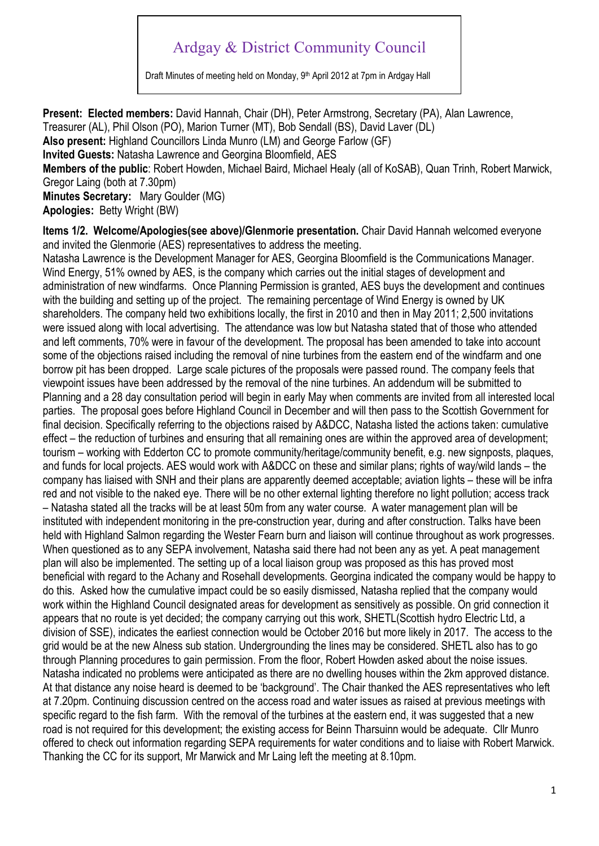## Ardgay & District Community Council

Draft Minutes of meeting held on Monday, 9<sup>th</sup> April 2012 at 7pm in Ardgay Hall

**Present: Elected members:** David Hannah, Chair (DH), Peter Armstrong, Secretary (PA), Alan Lawrence, Treasurer (AL), Phil Olson (PO), Marion Turner (MT), Bob Sendall (BS), David Laver (DL) **Also present:** Highland Councillors Linda Munro (LM) and George Farlow (GF) **Invited Guests:** Natasha Lawrence and Georgina Bloomfield, AES **Members of the public**: Robert Howden, Michael Baird, Michael Healy (all of KoSAB), Quan Trinh, Robert Marwick, Gregor Laing (both at 7.30pm) **Minutes Secretary:** Mary Goulder (MG) **Apologies:** Betty Wright (BW) **Items 1/2. Welcome/Apologies(see above)/Glenmorie presentation.** Chair David Hannah welcomed everyone

and invited the Glenmorie (AES) representatives to address the meeting. Natasha Lawrence is the Development Manager for AES, Georgina Bloomfield is the Communications Manager. Wind Energy, 51% owned by AES, is the company which carries out the initial stages of development and administration of new windfarms. Once Planning Permission is granted, AES buys the development and continues with the building and setting up of the project. The remaining percentage of Wind Energy is owned by UK shareholders. The company held two exhibitions locally, the first in 2010 and then in May 2011; 2,500 invitations were issued along with local advertising. The attendance was low but Natasha stated that of those who attended and left comments, 70% were in favour of the development. The proposal has been amended to take into account some of the objections raised including the removal of nine turbines from the eastern end of the windfarm and one borrow pit has been dropped. Large scale pictures of the proposals were passed round. The company feels that viewpoint issues have been addressed by the removal of the nine turbines. An addendum will be submitted to Planning and a 28 day consultation period will begin in early May when comments are invited from all interested local parties. The proposal goes before Highland Council in December and will then pass to the Scottish Government for final decision. Specifically referring to the objections raised by A&DCC, Natasha listed the actions taken: cumulative effect – the reduction of turbines and ensuring that all remaining ones are within the approved area of development; tourism – working with Edderton CC to promote community/heritage/community benefit, e.g. new signposts, plaques, and funds for local projects. AES would work with A&DCC on these and similar plans; rights of way/wild lands – the company has liaised with SNH and their plans are apparently deemed acceptable; aviation lights – these will be infra red and not visible to the naked eye. There will be no other external lighting therefore no light pollution; access track – Natasha stated all the tracks will be at least 50m from any water course. A water management plan will be instituted with independent monitoring in the pre-construction year, during and after construction. Talks have been held with Highland Salmon regarding the Wester Fearn burn and liaison will continue throughout as work progresses. When questioned as to any SEPA involvement, Natasha said there had not been any as yet. A peat management plan will also be implemented. The setting up of a local liaison group was proposed as this has proved most beneficial with regard to the Achany and Rosehall developments. Georgina indicated the company would be happy to do this. Asked how the cumulative impact could be so easily dismissed, Natasha replied that the company would work within the Highland Council designated areas for development as sensitively as possible. On grid connection it appears that no route is yet decided; the company carrying out this work, SHETL(Scottish hydro Electric Ltd, a division of SSE), indicates the earliest connection would be October 2016 but more likely in 2017. The access to the grid would be at the new Alness sub station. Undergrounding the lines may be considered. SHETL also has to go through Planning procedures to gain permission. From the floor, Robert Howden asked about the noise issues. Natasha indicated no problems were anticipated as there are no dwelling houses within the 2km approved distance. At that distance any noise heard is deemed to be 'background'. The Chair thanked the AES representatives who left at 7.20pm. Continuing discussion centred on the access road and water issues as raised at previous meetings with specific regard to the fish farm. With the removal of the turbines at the eastern end, it was suggested that a new road is not required for this development; the existing access for Beinn Tharsuinn would be adequate. Cllr Munro offered to check out information regarding SEPA requirements for water conditions and to liaise with Robert Marwick. Thanking the CC for its support, Mr Marwick and Mr Laing left the meeting at 8.10pm.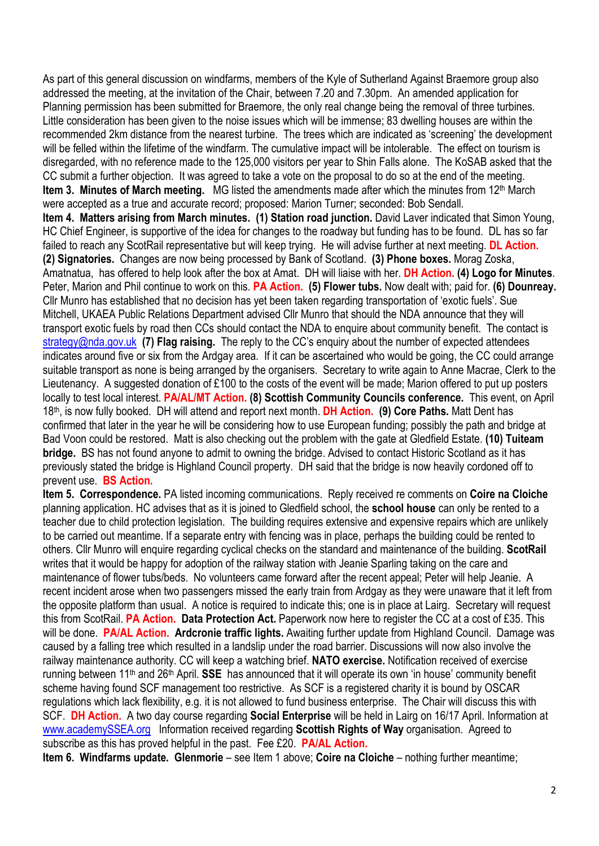As part of this general discussion on windfarms, members of the Kyle of Sutherland Against Braemore group also addressed the meeting, at the invitation of the Chair, between 7.20 and 7.30pm. An amended application for Planning permission has been submitted for Braemore, the only real change being the removal of three turbines. Little consideration has been given to the noise issues which will be immense; 83 dwelling houses are within the recommended 2km distance from the nearest turbine. The trees which are indicated as 'screening' the development will be felled within the lifetime of the windfarm. The cumulative impact will be intolerable. The effect on tourism is disregarded, with no reference made to the 125,000 visitors per year to Shin Falls alone. The KoSAB asked that the CC submit a further objection. It was agreed to take a vote on the proposal to do so at the end of the meeting. **Item 3. Minutes of March meeting.** MG listed the amendments made after which the minutes from 12<sup>th</sup> March were accepted as a true and accurate record; proposed: Marion Turner; seconded: Bob Sendall. **Item 4. Matters arising from March minutes. (1) Station road junction.** David Laver indicated that Simon Young, HC Chief Engineer, is supportive of the idea for changes to the roadway but funding has to be found. DL has so far failed to reach any ScotRail representative but will keep trying. He will advise further at next meeting. **DL Action. (2) Signatories.** Changes are now being processed by Bank of Scotland. **(3) Phone boxes.** Morag Zoska, Amatnatua, has offered to help look after the box at Amat. DH will liaise with her. **DH Action. (4) Logo for Minutes**. Peter, Marion and Phil continue to work on this. **PA Action. (5) Flower tubs.** Now dealt with; paid for. **(6) Dounreay.** Cllr Munro has established that no decision has yet been taken regarding transportation of 'exotic fuels'. Sue Mitchell, UKAEA Public Relations Department advised Cllr Munro that should the NDA announce that they will transport exotic fuels by road then CCs should contact the NDA to enquire about community benefit. The contact is strategy@nda.gov.uk **(7) Flag raising.** The reply to the CC's enquiry about the number of expected attendees indicates around five or six from the Ardgay area. If it can be ascertained who would be going, the CC could arrange suitable transport as none is being arranged by the organisers. Secretary to write again to Anne Macrae, Clerk to the Lieutenancy. A suggested donation of £100 to the costs of the event will be made; Marion offered to put up posters locally to test local interest. **PA/AL/MT Action. (8) Scottish Community Councils conference.** This event, on April 18th, is now fully booked. DH will attend and report next month. **DH Action. (9) Core Paths.** Matt Dent has confirmed that later in the year he will be considering how to use European funding; possibly the path and bridge at Bad Voon could be restored. Matt is also checking out the problem with the gate at Gledfield Estate. **(10) Tuiteam bridge.** BS has not found anyone to admit to owning the bridge. Advised to contact Historic Scotland as it has previously stated the bridge is Highland Council property. DH said that the bridge is now heavily cordoned off to prevent use. **BS Action.**

**Item 5. Correspondence.** PA listed incoming communications. Reply received re comments on **Coire na Cloiche** planning application. HC advises that as it is joined to Gledfield school, the **school house** can only be rented to a teacher due to child protection legislation. The building requires extensive and expensive repairs which are unlikely to be carried out meantime. If a separate entry with fencing was in place, perhaps the building could be rented to others. Cllr Munro will enquire regarding cyclical checks on the standard and maintenance of the building. **ScotRail**  writes that it would be happy for adoption of the railway station with Jeanie Sparling taking on the care and maintenance of flower tubs/beds. No volunteers came forward after the recent appeal; Peter will help Jeanie. A recent incident arose when two passengers missed the early train from Ardgay as they were unaware that it left from the opposite platform than usual. A notice is required to indicate this; one is in place at Lairg. Secretary will request this from ScotRail. **PA Action. Data Protection Act.** Paperwork now here to register the CC at a cost of £35. This will be done. **PA/AL Action. Ardcronie traffic lights.** Awaiting further update from Highland Council. Damage was caused by a falling tree which resulted in a landslip under the road barrier. Discussions will now also involve the railway maintenance authority. CC will keep a watching brief. **NATO exercise.** Notification received of exercise running between 11th and 26th April. **SSE** has announced that it will operate its own 'in house' community benefit scheme having found SCF management too restrictive. As SCF is a registered charity it is bound by OSCAR regulations which lack flexibility, e.g. it is not allowed to fund business enterprise. The Chair will discuss this with SCF. **DH Action.** A two day course regarding **Social Enterprise** will be held in Lairg on 16/17 April. Information at www.academySSEA.org Information received regarding **Scottish Rights of Way** organisation. Agreed to subscribe as this has proved helpful in the past. Fee £20. **PA/AL Action.** 

**Item 6. Windfarms update. Glenmorie – see Item 1 above; Coire na Cloiche – nothing further meantime;**